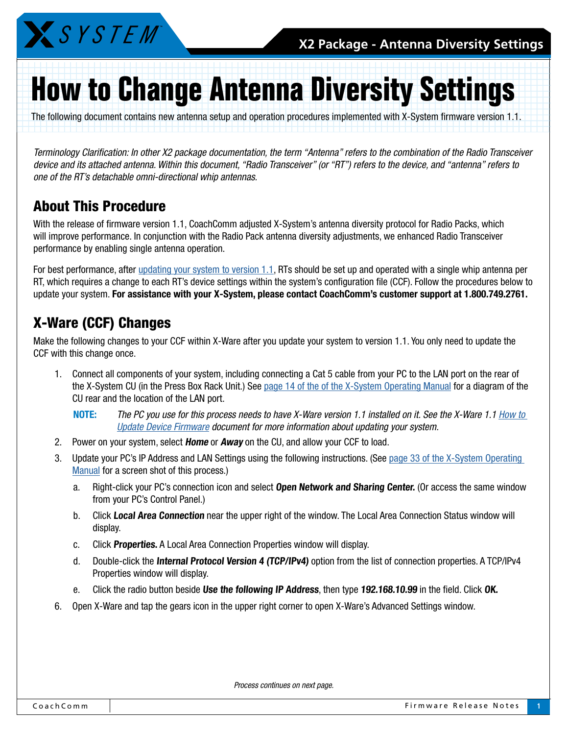

# **How to Change Antenna Diversity Settings**

The following document contains new antenna setup and operation procedures implemented with X-System firmware version 1.1.

*Terminology Clarification: In other X2 package documentation, the term "Antenna" refers to the combination of the Radio Transceiver device and its attached antenna. Within this document, "Radio Transceiver" (or "RT") refers to the device, and "antenna" refers to one of the RT's detachable omni-directional whip antennas.* 

#### About This Procedure

With the release of firmware version 1.1, CoachComm adjusted X-System's antenna diversity protocol for Radio Packs, which will improve performance. In conjunction with the Radio Pack antenna diversity adjustments, we enhanced Radio Transceiver performance by enabling single antenna operation.

For best performance, after [updating your system to version 1.1](http://www.coachcomm.com/pdfs/x-system/X2_SYSTEMUPDATETUTORIAL_D000459_A.PDF), RTs should be set up and operated with a single whip antenna per RT, which requires a change to each RT's device settings within the system's configuration file (CCF). Follow the procedures below to update your system. For assistance with your X-System, please contact CoachComm's customer support at 1.800.749.2761.

## X-Ware (CCF) Changes

Make the following changes to your CCF within X-Ware after you update your system to version 1.1. You only need to update the CCF with this change once.

- 1. Connect all components of your system, including connecting a Cat 5 cable from your PC to the LAN port on the rear of the X-System CU (in the Press Box Rack Unit.) See [page 14 of the of the X-System Operating Manual](http://www.coachcomm.com/pdfs/x-system/X2_MANUAL.pdf#page=18) for a diagram of the CU rear and the location of the LAN port.
	- NOTE: *The PC you use for this process needs to have X-Ware version 1.1 installed on it. See the X-Ware 1.1 [How to](http://www.coachcomm.com/pdfs/x-system/X2_SYSTEMUPDATETUTORIAL_D000459_A.PDF)  [Update Device Firmware](http://www.coachcomm.com/pdfs/x-system/X2_SYSTEMUPDATETUTORIAL_D000459_A.PDF) document for more information about updating your system.*
- 2. Power on your system, select **Home** or **Away** on the CU, and allow your CCF to load.
- 3. Update your PC's IP Address and LAN Settings using the following instructions. (See page 33 of the [X-System Operating](http://www.coachcomm.com/pdfs/x-system/X2_MANUAL.pdf#page=37)  [Manual](http://www.coachcomm.com/pdfs/x-system/X2_MANUAL.pdf#page=37) for a screen shot of this process.)
	- a. Right-click your PC's connection icon and select Open Network and Sharing Center. (Or access the same window from your PC's Control Panel.)
	- b. Click Local Area Connection near the upper right of the window. The Local Area Connection Status window will display.
	- c. Click Properties. A Local Area Connection Properties window will display.
	- d. Double-click the Internal Protocol Version 4 (TCP/IPv4) option from the list of connection properties. A TCP/IPv4 Properties window will display.
	- e. Click the radio button beside Use the following IP Address, then type 192.168.10.99 in the field. Click OK.
- 6. Open X-Ware and tap the gears icon in the upper right corner to open X-Ware's Advanced Settings window.

*Process continues on next page.*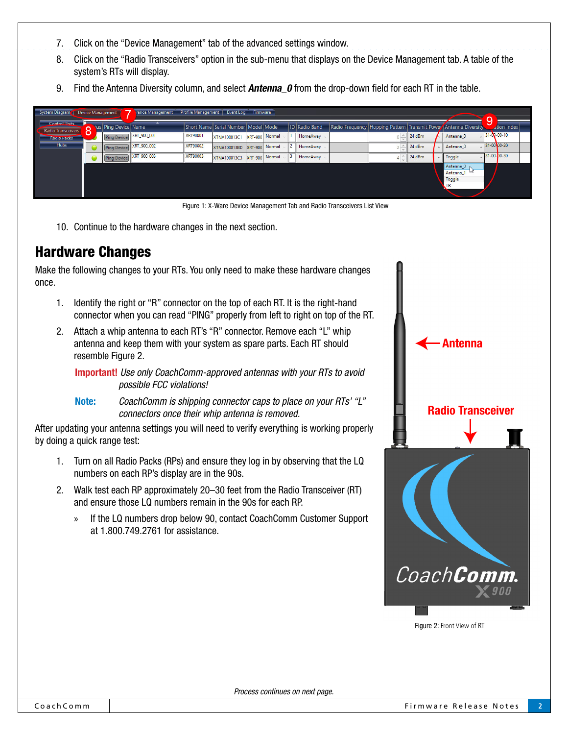- 7. Click on the "Device Management" tab of the advanced settings window.
- 8. Click on the "Radio Transceivers" option in the sub-menu that displays on the Device Management tab. A table of the system's RTs will display.
- 9. Find the Antenna Diversity column, and select **Antenna 0** from the drop-down field for each RT in the table.

| System Diagram                             | Device Management    | Frence Management   Profile Management   Event Log   Firmware<br>9 |                 |                                         |  |                |  |                      |  |  |        |  |                                                                        |  |                     |
|--------------------------------------------|----------------------|--------------------------------------------------------------------|-----------------|-----------------------------------------|--|----------------|--|----------------------|--|--|--------|--|------------------------------------------------------------------------|--|---------------------|
| <b>Control Units</b><br>Radio Transceivers | tus Ping Device Name |                                                                    |                 | Short Name Serial Number   Model   Mode |  |                |  | <b>ID</b> Radio Band |  |  |        |  | Radio Frequency   Hopping Pattern   Transmit Power   Antenna Diversity |  | <b>Ation Index</b>  |
| <b>Radio Packs</b>                         | <b>Ping Device</b>   | XRT_900_001                                                        | <b>XRT90001</b> | XTNA100013C1                            |  | XRT-900 Normal |  | HomeAway             |  |  | 24 dBm |  | Antenna 0                                                              |  | $31 - 00 - 00 - 10$ |
| <b>Hubs</b>                                | <b>Ping Device</b>   | XRT_900_002                                                        | XRT90002        | XTNA100013BD XRT-900 Normal             |  |                |  | HomeAway             |  |  | 24 dBm |  | Antenna 0                                                              |  | 31-00-00-20         |
|                                            | <b>Ping Device</b>   | XRT 900 003                                                        | <b>XRT90003</b> | XTNA100013C3                            |  | XRT-900 Normal |  | HomeAway             |  |  | 24 dBm |  | Toggle                                                                 |  | 31-00-00-30         |
|                                            |                      |                                                                    |                 |                                         |  |                |  |                      |  |  |        |  | Antenna <sub>0</sub><br>Antenna 1 kv<br>Toggle<br>.TR                  |  |                     |

Figure 1: X-Ware Device Management Tab and Radio Transceivers List View

10. Continue to the hardware changes in the next section.

### Hardware Changes

Make the following changes to your RTs. You only need to make these hardware changes once.

- 1. Identify the right or "R" connector on the top of each RT. It is the right-hand connector when you can read "PING" properly from left to right on top of the RT.
- 2. Attach a whip antenna to each RT's "R" connector. Remove each "L" whip antenna and keep them with your system as spare parts. Each RT should resemble [Figure 2](#page-1-0).

Important! *Use only CoachComm-approved antennas with your RTs to avoid possible FCC violations!*

Note: *CoachComm is shipping connector caps to place on your RTs' "L" connectors once their whip antenna is removed.* 

After updating your antenna settings you will need to verify everything is working properly by doing a quick range test:

- 1. Turn on all Radio Packs (RPs) and ensure they log in by observing that the LQ numbers on each RP's display are in the 90s.
- 2. Walk test each RP approximately 20–30 feet from the Radio Transceiver (RT) and ensure those LQ numbers remain in the 90s for each RP.
	- » If the LQ numbers drop below 90, contact CoachComm Customer Support at 1.800.749.2761 for assistance.



<span id="page-1-0"></span>Figure 2: Front View of RT

*Process continues on next page.*